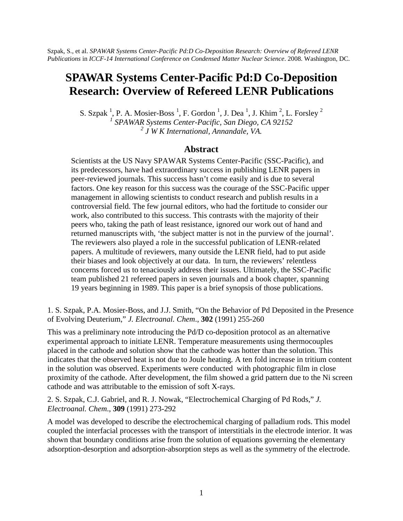## **SPAWAR Systems Center-Pacific Pd:D Co-Deposition Research: Overview of Refereed LENR Publications**

S. Szpak<sup>1</sup>, P. A. Mosier-Boss<sup>1</sup>, F. Gordon<sup>1</sup>, J. Dea<sup>1</sup>, J. Khim<sup>2</sup>, L. Forsley<sup>2</sup><br><sup>1</sup> SPAWAR Systems Center-Pacific, San Diego, CA 92152 *2 J W K International, Annandale, VA.*

## **Abstract**

Scientists at the US Navy SPAWAR Systems Center-Pacific (SSC-Pacific), and its predecessors, have had extraordinary success in publishing LENR papers in peer-reviewed journals. This success hasn't come easily and is due to several factors. One key reason for this success was the courage of the SSC-Pacific upper management in allowing scientists to conduct research and publish results in a controversial field. The few journal editors, who had the fortitude to consider our work, also contributed to this success. This contrasts with the majority of their peers who, taking the path of least resistance, ignored our work out of hand and returned manuscripts with, 'the subject matter is not in the purview of the journal'. The reviewers also played a role in the successful publication of LENR-related papers. A multitude of reviewers, many outside the LENR field, had to put aside their biases and look objectively at our data. In turn, the reviewers' relentless concerns forced us to tenaciously address their issues. Ultimately, the SSC-Pacific team published 21 refereed papers in seven journals and a book chapter, spanning 19 years beginning in 1989. This paper is a brief synopsis of those publications.

1. S. Szpak, P.A. Mosier-Boss, and J.J. Smith, "On the Behavior of Pd Deposited in the Presence of Evolving Deuterium," *J. Electroanal. Chem*., **302** (1991) 255-260

This was a preliminary note introducing the Pd/D co-deposition protocol as an alternative experimental approach to initiate LENR. Temperature measurements using thermocouples placed in the cathode and solution show that the cathode was hotter than the solution. This indicates that the observed heat is not due to Joule heating. A ten fold increase in tritium content in the solution was observed. Experiments were conducted with photographic film in close proximity of the cathode. After development, the film showed a grid pattern due to the Ni screen cathode and was attributable to the emission of soft X-rays.

2. S. Szpak, C.J. Gabriel, and R. J. Nowak, "Electrochemical Charging of Pd Rods," *J. Electroanal. Chem*., **309** (1991) 273-292

A model was developed to describe the electrochemical charging of palladium rods. This model coupled the interfacial processes with the transport of interstitials in the electrode interior. It was shown that boundary conditions arise from the solution of equations governing the elementary adsorption-desorption and adsorption-absorption steps as well as the symmetry of the electrode.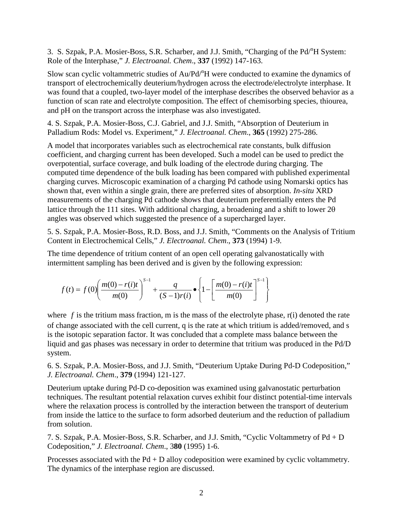3. S. Szpak, P.A. Mosier-Boss, S.R. Scharber, and J.J. Smith, "Charging of the Pd<sup>n</sup>H System: Role of the Interphase," *J. Electroanal. Chem*., **337** (1992) 147-163.

Slow scan cyclic voltammetric studies of Au/Pd<sup>n</sup>H were conducted to examine the dynamics of transport of electrochemically deuterium/hydrogen across the electrode/electrolyte interphase. It was found that a coupled, two-layer model of the interphase describes the observed behavior as a function of scan rate and electrolyte composition. The effect of chemisorbing species, thiourea, and pH on the transport across the interphase was also investigated.

4. S. Szpak, P.A. Mosier-Boss, C.J. Gabriel, and J.J. Smith, "Absorption of Deuterium in Palladium Rods: Model vs. Experiment," *J. Electroanal. Chem*., **365** (1992) 275-286.

A model that incorporates variables such as electrochemical rate constants, bulk diffusion coefficient, and charging current has been developed. Such a model can be used to predict the overpotential, surface coverage, and bulk loading of the electrode during charging. The computed time dependence of the bulk loading has been compared with published experimental charging curves. Microscopic examination of a charging Pd cathode using Nomarski optics has shown that, even within a single grain, there are preferred sites of absorption. *In-situ* XRD measurements of the charging Pd cathode shows that deuterium preferentially enters the Pd lattice through the 111 sites. With additional charging, a broadening and a shift to lower  $2\theta$ angles was observed which suggested the presence of a supercharged layer.

5. S. Szpak, P.A. Mosier-Boss, R.D. Boss, and J.J. Smith, "Comments on the Analysis of Tritium Content in Electrochemical Cells," *J. Electroanal. Chem*., **373** (1994) 1-9.

The time dependence of tritium content of an open cell operating galvanostatically with intermittent sampling has been derived and is given by the following expression:

$$
f(t) = f(0) \left( \frac{m(0) - r(i)t}{m(0)} \right)^{S-1} + \frac{q}{(S-1)r(i)} \cdot \left\{ 1 - \left[ \frac{m(0) - r(i)t}{m(0)} \right]^{S-1} \right\}
$$

where  $f$  is the tritium mass fraction, m is the mass of the electrolyte phase,  $r(i)$  denoted the rate of change associated with the cell current, q is the rate at which tritium is added/removed, and s is the isotopic separation factor. It was concluded that a complete mass balance between the liquid and gas phases was necessary in order to determine that tritium was produced in the Pd/D system.

6. S. Szpak, P.A. Mosier-Boss, and J.J. Smith, "Deuterium Uptake During Pd-D Codeposition," *J. Electroanal. Chem*., **379** (1994) 121-127.

Deuterium uptake during Pd-D co-deposition was examined using galvanostatic perturbation techniques. The resultant potential relaxation curves exhibit four distinct potential-time intervals where the relaxation process is controlled by the interaction between the transport of deuterium from inside the lattice to the surface to form adsorbed deuterium and the reduction of palladium from solution.

7. S. Szpak, P.A. Mosier-Boss, S.R. Scharber, and J.J. Smith, "Cyclic Voltammetry of Pd + D Codeposition," *J. Electroanal. Chem*., 3**80** (1995) 1-6.

Processes associated with the Pd + D alloy codeposition were examined by cyclic voltammetry. The dynamics of the interphase region are discussed.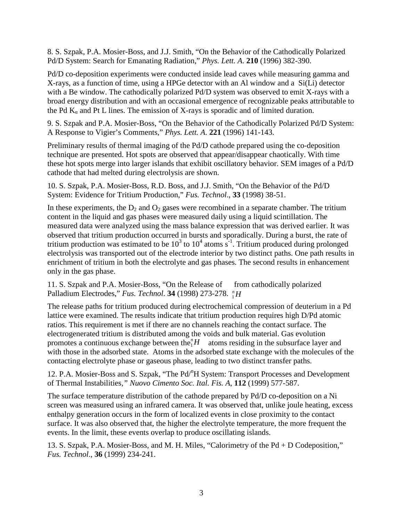8. S. Szpak, P.A. Mosier-Boss, and J.J. Smith, "On the Behavior of the Cathodically Polarized Pd/D System: Search for Emanating Radiation," *Phys. Lett. A*. **210** (1996) 382-390.

Pd/D co-deposition experiments were conducted inside lead caves while measuring gamma and X-rays, as a function of time, using a HPGe detector with an Al window and a Si(Li) detector with a Be window. The cathodically polarized Pd/D system was observed to emit X-rays with a broad energy distribution and with an occasional emergence of recognizable peaks attributable to the Pd  $K_{\alpha}$  and Pt L lines. The emission of X-rays is sporadic and of limited duration.

9. S. Szpak and P.A. Mosier-Boss, "On the Behavior of the Cathodically Polarized Pd/D System: A Response to Vigier's Comments," *Phys. Lett. A*. **221** (1996) 141-143.

Preliminary results of thermal imaging of the Pd/D cathode prepared using the co-deposition technique are presented. Hot spots are observed that appear/disappear chaotically. With time these hot spots merge into larger islands that exhibit oscillatory behavior. SEM images of a Pd/D cathode that had melted during electrolysis are shown.

10. S. Szpak, P.A. Mosier-Boss, R.D. Boss, and J.J. Smith, "On the Behavior of the Pd/D System: Evidence for Tritium Production," *Fus. Technol*., **33** (1998) 38-51.

In these experiments, the  $D_2$  and  $O_2$  gases were recombined in a separate chamber. The tritium content in the liquid and gas phases were measured daily using a liquid scintillation. The measured data were analyzed using the mass balance expression that was derived earlier. It was observed that tritium production occurred in bursts and sporadically. During a burst, the rate of tritium production was estimated to be  $10^3$  to  $10^4$  atoms s<sup>-1</sup>. Tritium produced during prolonged electrolysis was transported out of the electrode interior by two distinct paths. One path results in enrichment of tritium in both the electrolyte and gas phases. The second results in enhancement only in the gas phase.

11. S. Szpak and P.A. Mosier-Boss, "On the Release of from cathodically polarized Palladium Electrodes," *Fus. Technol*. **34** (1998) 273-278. *H n* 1

The release paths for tritium produced during electrochemical compression of deuterium in a Pd lattice were examined. The results indicate that tritium production requires high D/Pd atomic ratios. This requirement is met if there are no channels reaching the contact surface. The electrogenerated tritium is distributed among the voids and bulk material. Gas evolution promotes a continuous exchange between the  $H$ <sup> $n$ </sup> atoms residing in the subsurface layer and with those in the adsorbed state. Atoms in the adsorbed state exchange with the molecules of the contacting electrolyte phase or gaseous phase, leading to two distinct transfer paths. 1

12. P.A. Mosier-Boss and S. Szpak, "The Pd/<sup>n</sup>H System: Transport Processes and Development of Thermal Instabilities*," Nuovo Cimento Soc. Ital. Fis. A*, **112** (1999) 577-587.

The surface temperature distribution of the cathode prepared by Pd/D co-deposition on a Ni screen was measured using an infrared camera. It was observed that, unlike joule heating, excess enthalpy generation occurs in the form of localized events in close proximity to the contact surface. It was also observed that, the higher the electrolyte temperature, the more frequent the events. In the limit, these events overlap to produce oscillating islands.

13. S. Szpak, P.A. Mosier-Boss, and M. H. Miles, "Calorimetry of the Pd + D Codeposition," *Fus. Technol*., **36** (1999) 234-241.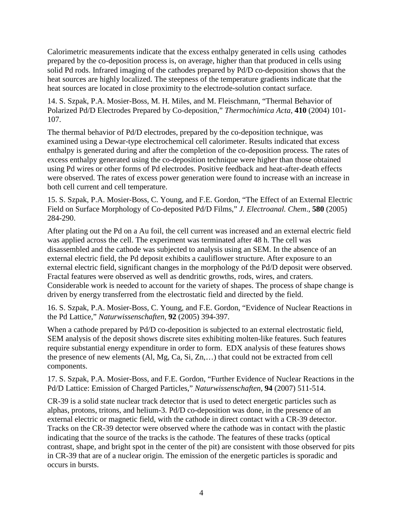Calorimetric measurements indicate that the excess enthalpy generated in cells using cathodes prepared by the co-deposition process is, on average, higher than that produced in cells using solid Pd rods. Infrared imaging of the cathodes prepared by Pd/D co-deposition shows that the heat sources are highly localized. The steepness of the temperature gradients indicate that the heat sources are located in close proximity to the electrode-solution contact surface.

14. S. Szpak, P.A. Mosier-Boss, M. H. Miles, and M. Fleischmann, "Thermal Behavior of Polarized Pd/D Electrodes Prepared by Co-deposition," *Thermochimica Acta*, **410** (2004) 101- 107.

The thermal behavior of Pd/D electrodes, prepared by the co-deposition technique, was examined using a Dewar-type electrochemical cell calorimeter. Results indicated that excess enthalpy is generated during and after the completion of the co-deposition process. The rates of excess enthalpy generated using the co-deposition technique were higher than those obtained using Pd wires or other forms of Pd electrodes. Positive feedback and heat-after-death effects were observed. The rates of excess power generation were found to increase with an increase in both cell current and cell temperature.

15. S. Szpak, P.A. Mosier-Boss, C. Young, and F.E. Gordon, "The Effect of an External Electric Field on Surface Morphology of Co-deposited Pd/D Films," *J. Electroanal. Chem*., **580** (2005) 284-290.

After plating out the Pd on a Au foil, the cell current was increased and an external electric field was applied across the cell. The experiment was terminated after 48 h. The cell was disassembled and the cathode was subjected to analysis using an SEM. In the absence of an external electric field, the Pd deposit exhibits a cauliflower structure. After exposure to an external electric field, significant changes in the morphology of the Pd/D deposit were observed. Fractal features were observed as well as dendritic growths, rods, wires, and craters. Considerable work is needed to account for the variety of shapes. The process of shape change is driven by energy transferred from the electrostatic field and directed by the field.

16. S. Szpak, P.A. Mosier-Boss, C. Young, and F.E. Gordon, "Evidence of Nuclear Reactions in the Pd Lattice," *Naturwissenschaften*, **92** (2005) 394-397.

When a cathode prepared by Pd/D co-deposition is subjected to an external electrostatic field, SEM analysis of the deposit shows discrete sites exhibiting molten-like features. Such features require substantial energy expenditure in order to form. EDX analysis of these features shows the presence of new elements (Al, Mg, Ca, Si, Zn,…) that could not be extracted from cell components.

17. S. Szpak, P.A. Mosier-Boss, and F.E. Gordon, "Further Evidence of Nuclear Reactions in the Pd/D Lattice: Emission of Charged Particles," *Naturwissenschaften*, **94** (2007) 511-514.

CR-39 is a solid state nuclear track detector that is used to detect energetic particles such as alphas, protons, tritons, and helium-3. Pd/D co-deposition was done, in the presence of an external electric or magnetic field, with the cathode in direct contact with a CR-39 detector. Tracks on the CR-39 detector were observed where the cathode was in contact with the plastic indicating that the source of the tracks is the cathode. The features of these tracks (optical contrast, shape, and bright spot in the center of the pit) are consistent with those observed for pits in CR-39 that are of a nuclear origin. The emission of the energetic particles is sporadic and occurs in bursts.